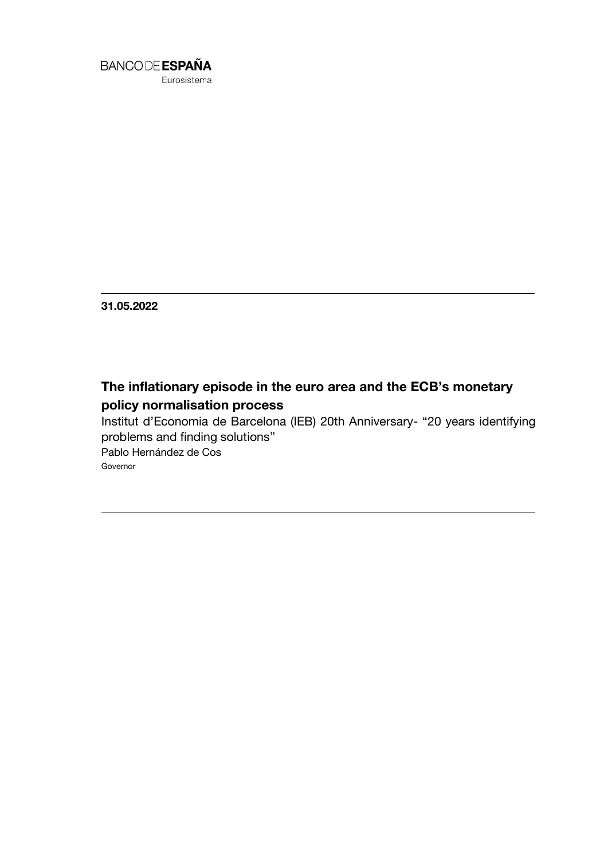

Eurosistema

**31.05.2022**

# **The inflationary episode in the euro area and the ECB's monetary policy normalisation process**

Institut d'Economia de Barcelona (IEB) 20th Anniversary- "20 years identifying problems and finding solutions"

Pablo Hernández de Cos Governor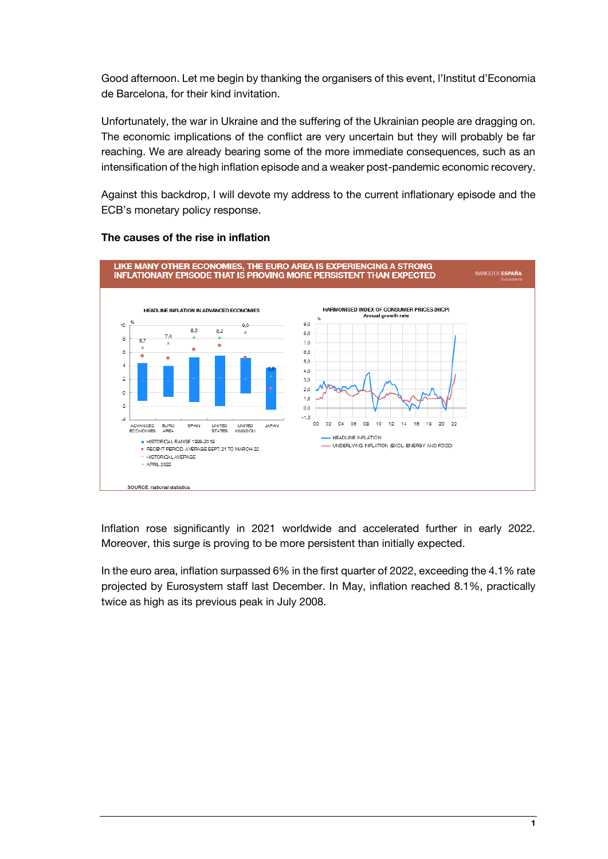Good afternoon. Let me begin by thanking the organisers of this event, l'Institut d'Economia de Barcelona, for their kind invitation.

Unfortunately, the war in Ukraine and the suffering of the Ukrainian people are dragging on. The economic implications of the conflict are very uncertain but they will probably be far reaching. We are already bearing some of the more immediate consequences, such as an intensification of the high inflation episode and a weaker post-pandemic economic recovery.

Against this backdrop, I will devote my address to the current inflationary episode and the ECB's monetary policy response.



## **The causes of the rise in inflation**

Inflation rose significantly in 2021 worldwide and accelerated further in early 2022. Moreover, this surge is proving to be more persistent than initially expected.

In the euro area, inflation surpassed 6% in the first quarter of 2022, exceeding the 4.1% rate projected by Eurosystem staff last December. In May, inflation reached 8.1%, practically twice as high as its previous peak in July 2008.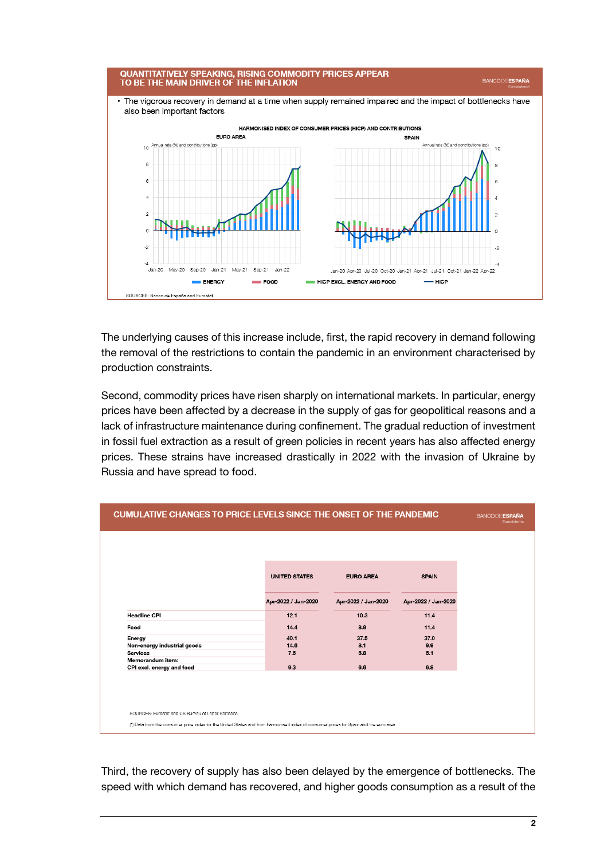

The underlying causes of this increase include, first, the rapid recovery in demand following the removal of the restrictions to contain the pandemic in an environment characterised by production constraints.

Second, commodity prices have risen sharply on international markets. In particular, energy prices have been affected by a decrease in the supply of gas for geopolitical reasons and a lack of infrastructure maintenance during confinement. The gradual reduction of investment in fossil fuel extraction as a result of green policies in recent years has also affected energy prices. These strains have increased drastically in 2022 with the invasion of Ukraine by Russia and have spread to food.

| <b>CUMULATIVE CHANGES TO PRICE LEVELS SINCE THE ONSET OF THE PANDEMIC</b>                                                              |                      |                     |                     | <b>BANCODE ESPAÑA</b><br>Eurosistema |
|----------------------------------------------------------------------------------------------------------------------------------------|----------------------|---------------------|---------------------|--------------------------------------|
|                                                                                                                                        |                      |                     |                     |                                      |
|                                                                                                                                        | <b>UNITED STATES</b> | <b>EURO AREA</b>    | <b>SPAIN</b>        |                                      |
|                                                                                                                                        | Apr-2022 / Jan-2020  | Apr 2022 / Jan-2020 | Apr-2022 / Jan-2020 |                                      |
| <b>Headline CPI</b>                                                                                                                    | 12.1                 | 10.3                | 11.4                |                                      |
| Food                                                                                                                                   | 14.4                 | 8.9                 | 11.4                |                                      |
| Energy                                                                                                                                 | 40.1                 | 37.5                | 37.0                |                                      |
| Non-energy industrial goods                                                                                                            | 14.6                 | 8.1                 | 9.9                 |                                      |
| <b>Services</b>                                                                                                                        | 7.5                  | 5.8                 | 5.1                 |                                      |
| Memorandum item:                                                                                                                       |                      |                     |                     |                                      |
| CPI excl. energy and food                                                                                                              | 9.3                  | 6.6                 | 6.8                 |                                      |
|                                                                                                                                        |                      |                     |                     |                                      |
| SOURCES: Eurostat and US Bureau of Labor Statistics.                                                                                   |                      |                     |                     |                                      |
| (") Data from the consumer price index for the United States and from harmonised index of consumer prices for Spain and the euro area. |                      |                     |                     |                                      |

Third, the recovery of supply has also been delayed by the emergence of bottlenecks. The speed with which demand has recovered, and higher goods consumption as a result of the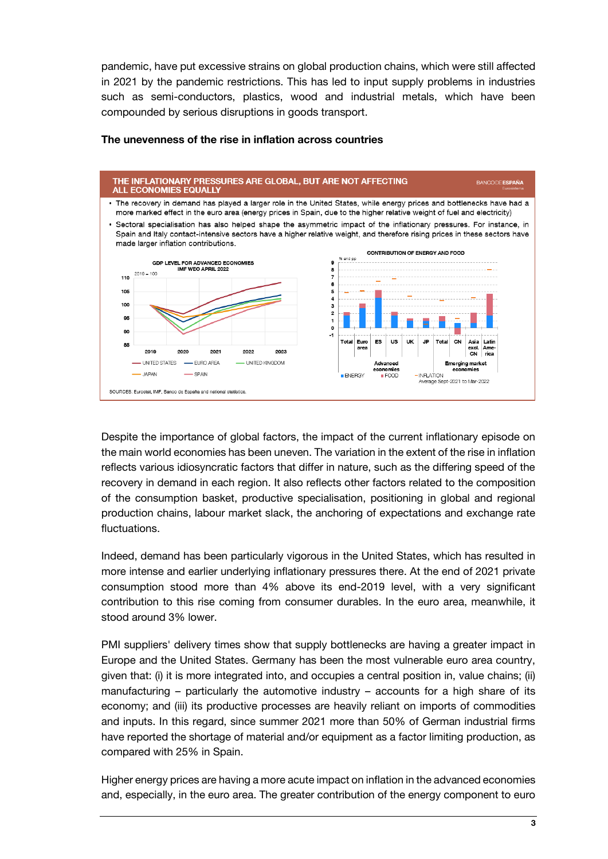pandemic, have put excessive strains on global production chains, which were still affected in 2021 by the pandemic restrictions. This has led to input supply problems in industries such as semi-conductors, plastics, wood and industrial metals, which have been compounded by serious disruptions in goods transport.



#### **The unevenness of the rise in inflation across countries**

Despite the importance of global factors, the impact of the current inflationary episode on the main world economies has been uneven. The variation in the extent of the rise in inflation reflects various idiosyncratic factors that differ in nature, such as the differing speed of the recovery in demand in each region. It also reflects other factors related to the composition of the consumption basket, productive specialisation, positioning in global and regional production chains, labour market slack, the anchoring of expectations and exchange rate fluctuations.

Indeed, demand has been particularly vigorous in the United States, which has resulted in more intense and earlier underlying inflationary pressures there. At the end of 2021 private consumption stood more than 4% above its end-2019 level, with a very significant contribution to this rise coming from consumer durables. In the euro area, meanwhile, it stood around 3% lower.

PMI suppliers' delivery times show that supply bottlenecks are having a greater impact in Europe and the United States. Germany has been the most vulnerable euro area country, given that: (i) it is more integrated into, and occupies a central position in, value chains; (ii) manufacturing – particularly the automotive industry – accounts for a high share of its economy; and (iii) its productive processes are heavily reliant on imports of commodities and inputs. In this regard, since summer 2021 more than 50% of German industrial firms have reported the shortage of material and/or equipment as a factor limiting production, as compared with 25% in Spain.

Higher energy prices are having a more acute impact on inflation in the advanced economies and, especially, in the euro area. The greater contribution of the energy component to euro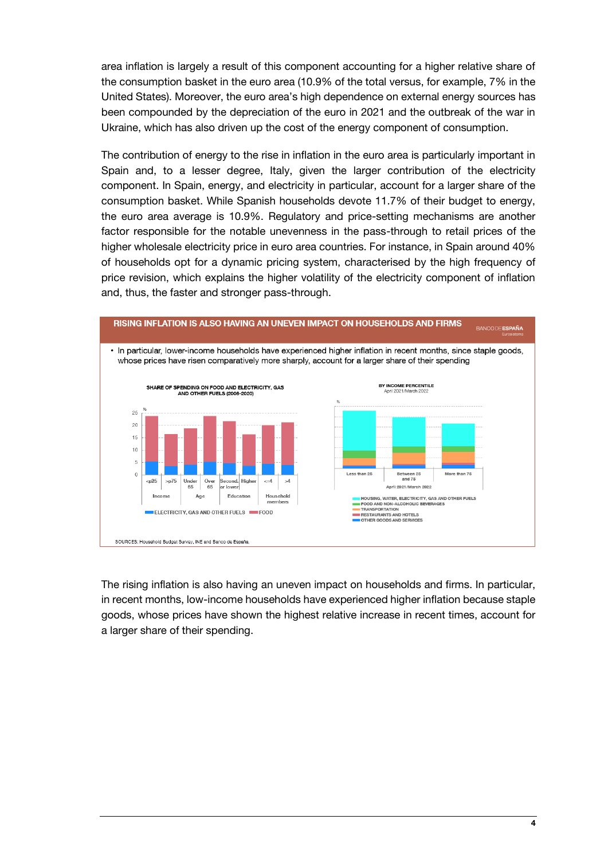area inflation is largely a result of this component accounting for a higher relative share of the consumption basket in the euro area (10.9% of the total versus, for example, 7% in the United States). Moreover, the euro area's high dependence on external energy sources has been compounded by the depreciation of the euro in 2021 and the outbreak of the war in Ukraine, which has also driven up the cost of the energy component of consumption.

The contribution of energy to the rise in inflation in the euro area is particularly important in Spain and, to a lesser degree, Italy, given the larger contribution of the electricity component. In Spain, energy, and electricity in particular, account for a larger share of the consumption basket. While Spanish households devote 11.7% of their budget to energy, the euro area average is 10.9%. Regulatory and price-setting mechanisms are another factor responsible for the notable unevenness in the pass-through to retail prices of the higher wholesale electricity price in euro area countries. For instance, in Spain around 40% of households opt for a dynamic pricing system, characterised by the high frequency of price revision, which explains the higher volatility of the electricity component of inflation and, thus, the faster and stronger pass-through.



The rising inflation is also having an uneven impact on households and firms. In particular, in recent months, low-income households have experienced higher inflation because staple goods, whose prices have shown the highest relative increase in recent times, account for a larger share of their spending.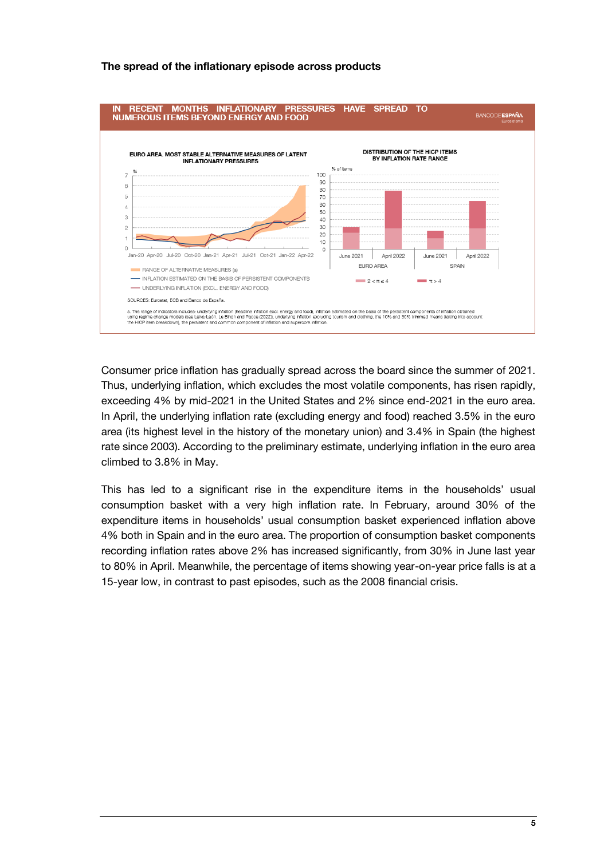

### **The spread of the inflationary episode across products**

Consumer price inflation has gradually spread across the board since the summer of 2021. Thus, underlying inflation, which excludes the most volatile components, has risen rapidly, exceeding 4% by mid-2021 in the United States and 2% since end-2021 in the euro area. In April, the underlying inflation rate (excluding energy and food) reached 3.5% in the euro area (its highest level in the history of the monetary union) and 3.4% in Spain (the highest rate since 2003). According to the preliminary estimate, underlying inflation in the euro area climbed to 3.8% in May.

This has led to a significant rise in the expenditure items in the households' usual consumption basket with a very high inflation rate. In February, around 30% of the expenditure items in households' usual consumption basket experienced inflation above 4% both in Spain and in the euro area. The proportion of consumption basket components recording inflation rates above 2% has increased significantly, from 30% in June last year to 80% in April. Meanwhile, the percentage of items showing year-on-year price falls is at a 15-year low, in contrast to past episodes, such as the 2008 financial crisis.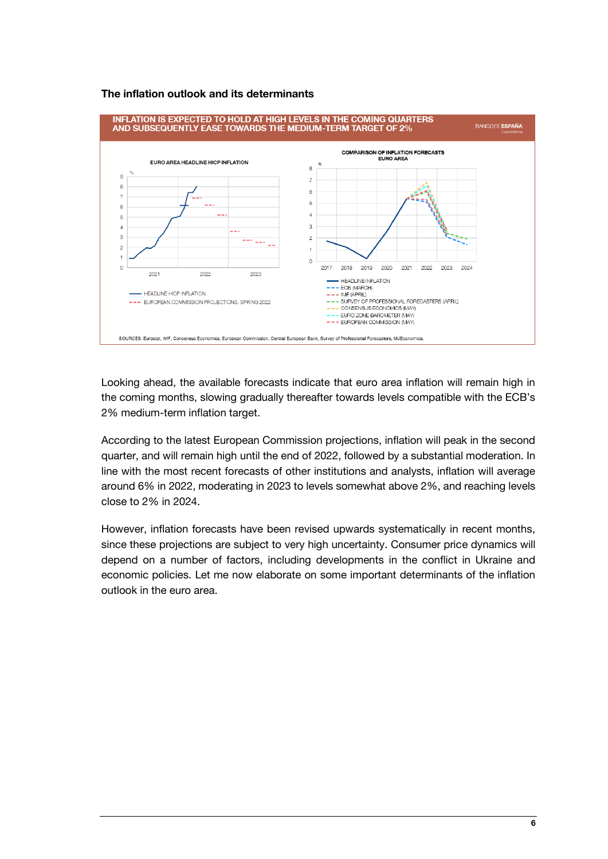#### **The inflation outlook and its determinants**



Looking ahead, the available forecasts indicate that euro area inflation will remain high in the coming months, slowing gradually thereafter towards levels compatible with the ECB's 2% medium-term inflation target.

According to the latest European Commission projections, inflation will peak in the second quarter, and will remain high until the end of 2022, followed by a substantial moderation. In line with the most recent forecasts of other institutions and analysts, inflation will average around 6% in 2022, moderating in 2023 to levels somewhat above 2%, and reaching levels close to 2% in 2024.

However, inflation forecasts have been revised upwards systematically in recent months, since these projections are subject to very high uncertainty. Consumer price dynamics will depend on a number of factors, including developments in the conflict in Ukraine and economic policies. Let me now elaborate on some important determinants of the inflation outlook in the euro area.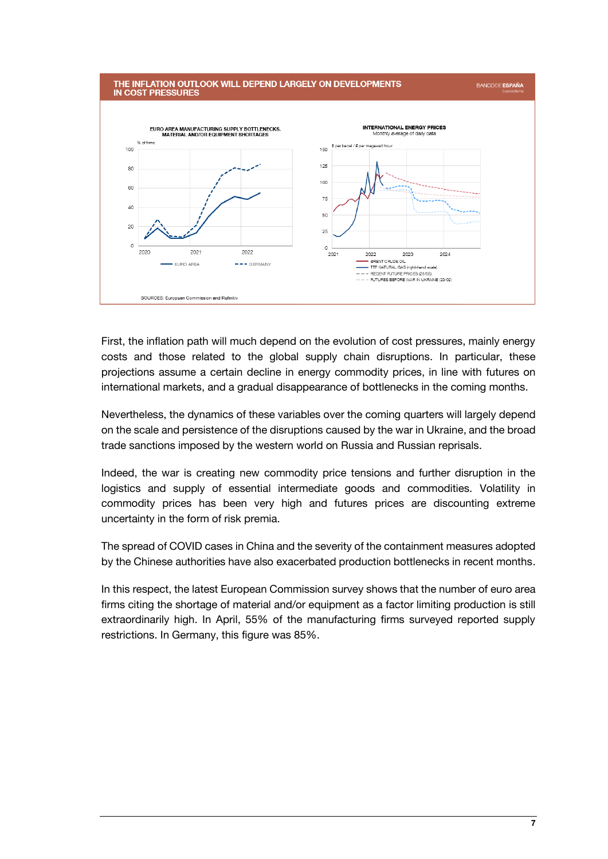

First, the inflation path will much depend on the evolution of cost pressures, mainly energy costs and those related to the global supply chain disruptions. In particular, these projections assume a certain decline in energy commodity prices, in line with futures on international markets, and a gradual disappearance of bottlenecks in the coming months.

Nevertheless, the dynamics of these variables over the coming quarters will largely depend on the scale and persistence of the disruptions caused by the war in Ukraine, and the broad trade sanctions imposed by the western world on Russia and Russian reprisals.

Indeed, the war is creating new commodity price tensions and further disruption in the logistics and supply of essential intermediate goods and commodities. Volatility in commodity prices has been very high and futures prices are discounting extreme uncertainty in the form of risk premia.

The spread of COVID cases in China and the severity of the containment measures adopted by the Chinese authorities have also exacerbated production bottlenecks in recent months.

In this respect, the latest European Commission survey shows that the number of euro area firms citing the shortage of material and/or equipment as a factor limiting production is still extraordinarily high. In April, 55% of the manufacturing firms surveyed reported supply restrictions. In Germany, this figure was 85%.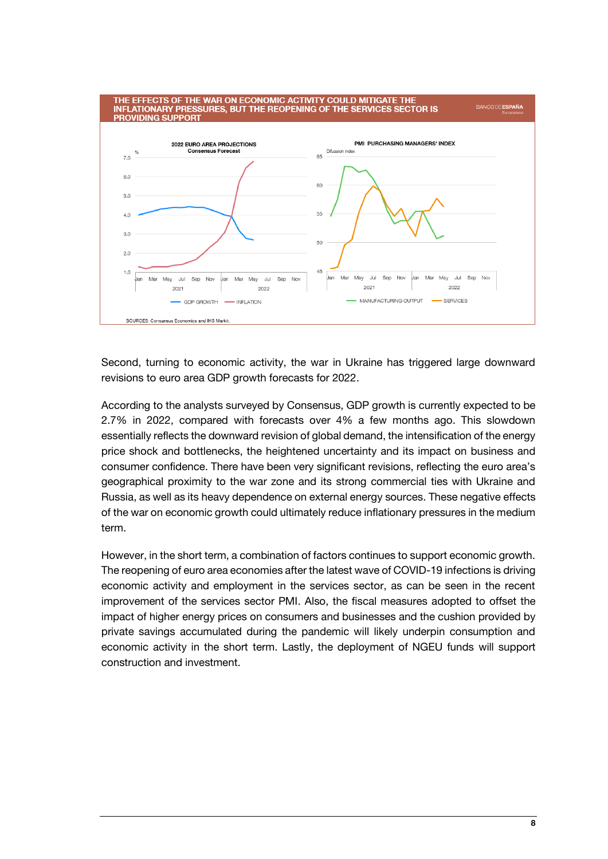

Second, turning to economic activity, the war in Ukraine has triggered large downward revisions to euro area GDP growth forecasts for 2022.

According to the analysts surveyed by Consensus, GDP growth is currently expected to be 2.7% in 2022, compared with forecasts over 4% a few months ago. This slowdown essentially reflects the downward revision of global demand, the intensification of the energy price shock and bottlenecks, the heightened uncertainty and its impact on business and consumer confidence. There have been very significant revisions, reflecting the euro area's geographical proximity to the war zone and its strong commercial ties with Ukraine and Russia, as well as its heavy dependence on external energy sources. These negative effects of the war on economic growth could ultimately reduce inflationary pressures in the medium term.

However, in the short term, a combination of factors continues to support economic growth. The reopening of euro area economies after the latest wave of COVID-19 infections is driving economic activity and employment in the services sector, as can be seen in the recent improvement of the services sector PMI. Also, the fiscal measures adopted to offset the impact of higher energy prices on consumers and businesses and the cushion provided by private savings accumulated during the pandemic will likely underpin consumption and economic activity in the short term. Lastly, the deployment of NGEU funds will support construction and investment.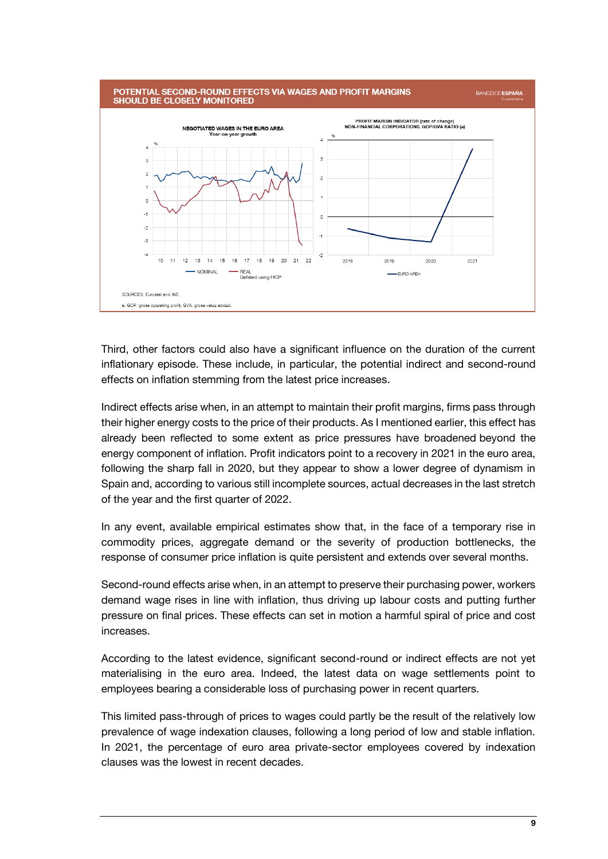

Third, other factors could also have a significant influence on the duration of the current inflationary episode. These include, in particular, the potential indirect and second-round effects on inflation stemming from the latest price increases.

Indirect effects arise when, in an attempt to maintain their profit margins, firms pass through their higher energy costs to the price of their products. As I mentioned earlier, this effect has already been reflected to some extent as price pressures have broadened beyond the energy component of inflation. Profit indicators point to a recovery in 2021 in the euro area, following the sharp fall in 2020, but they appear to show a lower degree of dynamism in Spain and, according to various still incomplete sources, actual decreases in the last stretch of the year and the first quarter of 2022.

In any event, available empirical estimates show that, in the face of a temporary rise in commodity prices, aggregate demand or the severity of production bottlenecks, the response of consumer price inflation is quite persistent and extends over several months.

Second-round effects arise when, in an attempt to preserve their purchasing power, workers demand wage rises in line with inflation, thus driving up labour costs and putting further pressure on final prices. These effects can set in motion a harmful spiral of price and cost increases.

According to the latest evidence, significant second-round or indirect effects are not yet materialising in the euro area. Indeed, the latest data on wage settlements point to employees bearing a considerable loss of purchasing power in recent quarters.

This limited pass-through of prices to wages could partly be the result of the relatively low prevalence of wage indexation clauses, following a long period of low and stable inflation. In 2021, the percentage of euro area private-sector employees covered by indexation clauses was the lowest in recent decades.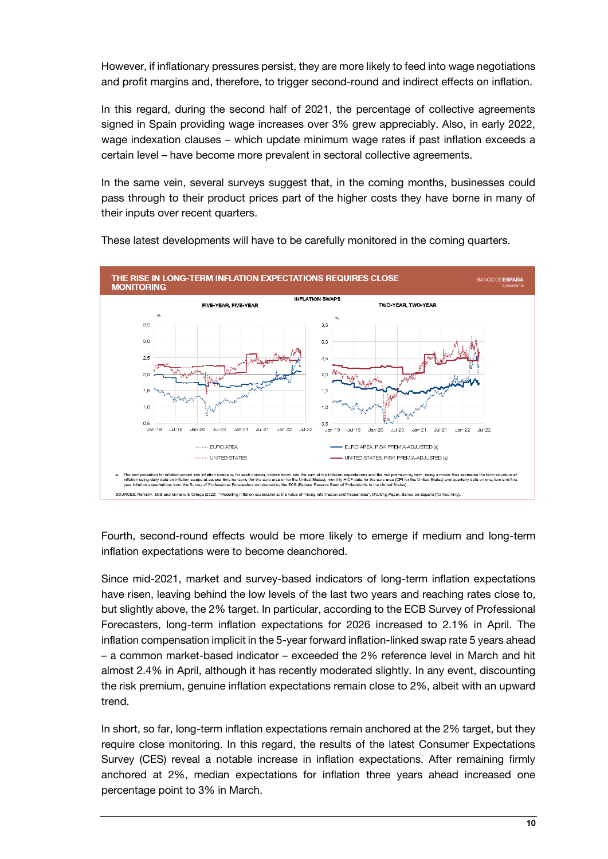However, if inflationary pressures persist, they are more likely to feed into wage negotiations and profit margins and, therefore, to trigger second-round and indirect effects on inflation.

In this regard, during the second half of 2021, the percentage of collective agreements signed in Spain providing wage increases over 3% grew appreciably. Also, in early 2022, wage indexation clauses – which update minimum wage rates if past inflation exceeds a certain level – have become more prevalent in sectoral collective agreements.

In the same vein, several surveys suggest that, in the coming months, businesses could pass through to their product prices part of the higher costs they have borne in many of their inputs over recent quarters.



These latest developments will have to be carefully monitored in the coming quarters.

Fourth, second-round effects would be more likely to emerge if medium and long-term inflation expectations were to become deanchored.

Since mid-2021, market and survey-based indicators of long-term inflation expectations have risen, leaving behind the low levels of the last two years and reaching rates close to, but slightly above, the 2% target. In particular, according to the ECB Survey of Professional Forecasters, long-term inflation expectations for 2026 increased to 2.1% in April. The inflation compensation implicit in the 5-year forward inflation-linked swap rate 5 years ahead – a common market-based indicator – exceeded the 2% reference level in March and hit almost 2.4% in April, although it has recently moderated slightly. In any event, discounting the risk premium, genuine inflation expectations remain close to 2%, albeit with an upward trend.

In short, so far, long-term inflation expectations remain anchored at the 2% target, but they require close monitoring. In this regard, the results of the latest Consumer Expectations Survey (CES) reveal a notable increase in inflation expectations. After remaining firmly anchored at 2%, median expectations for inflation three years ahead increased one percentage point to 3% in March.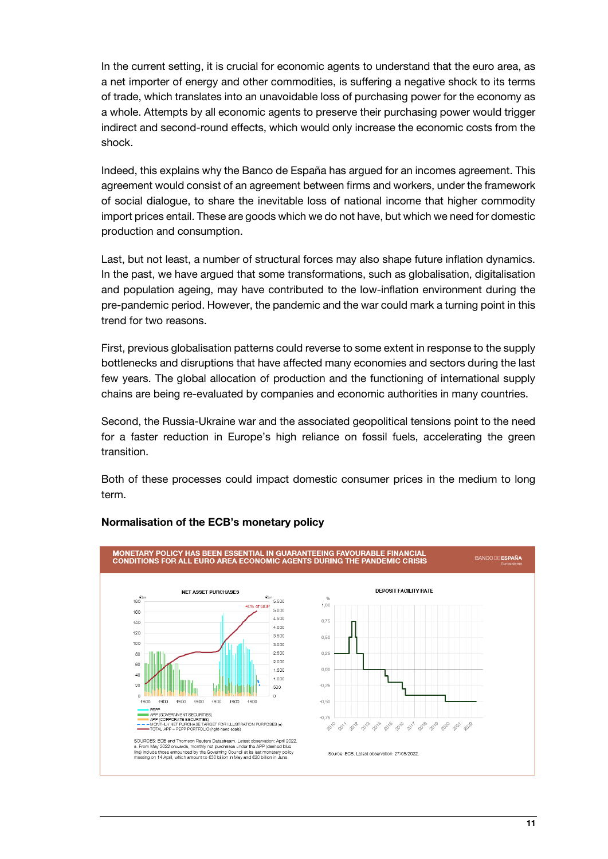In the current setting, it is crucial for economic agents to understand that the euro area, as a net importer of energy and other commodities, is suffering a negative shock to its terms of trade, which translates into an unavoidable loss of purchasing power for the economy as a whole. Attempts by all economic agents to preserve their purchasing power would trigger indirect and second-round effects, which would only increase the economic costs from the shock.

Indeed, this explains why the Banco de España has argued for an incomes agreement. This agreement would consist of an agreement between firms and workers, under the framework of social dialogue, to share the inevitable loss of national income that higher commodity import prices entail. These are goods which we do not have, but which we need for domestic production and consumption.

Last, but not least, a number of structural forces may also shape future inflation dynamics. In the past, we have argued that some transformations, such as globalisation, digitalisation and population ageing, may have contributed to the low-inflation environment during the pre-pandemic period. However, the pandemic and the war could mark a turning point in this trend for two reasons.

First, previous globalisation patterns could reverse to some extent in response to the supply bottlenecks and disruptions that have affected many economies and sectors during the last few years. The global allocation of production and the functioning of international supply chains are being re-evaluated by companies and economic authorities in many countries.

Second, the Russia-Ukraine war and the associated geopolitical tensions point to the need for a faster reduction in Europe's high reliance on fossil fuels, accelerating the green transition.

Both of these processes could impact domestic consumer prices in the medium to long term.



## **Normalisation of the ECB's monetary policy**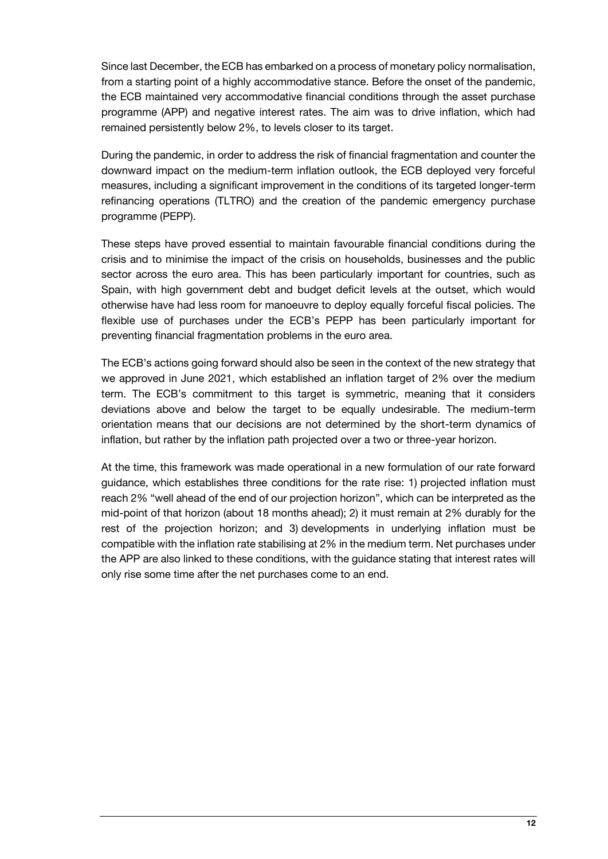Since last December, the ECB has embarked on a process of monetary policy normalisation, from a starting point of a highly accommodative stance. Before the onset of the pandemic, the ECB maintained very accommodative financial conditions through the asset purchase programme (APP) and negative interest rates. The aim was to drive inflation, which had remained persistently below 2%, to levels closer to its target.

During the pandemic, in order to address the risk of financial fragmentation and counter the downward impact on the medium-term inflation outlook, the ECB deployed very forceful measures, including a significant improvement in the conditions of its targeted longer-term refinancing operations (TLTRO) and the creation of the pandemic emergency purchase programme (PEPP).

These steps have proved essential to maintain favourable financial conditions during the crisis and to minimise the impact of the crisis on households, businesses and the public sector across the euro area. This has been particularly important for countries, such as Spain, with high government debt and budget deficit levels at the outset, which would otherwise have had less room for manoeuvre to deploy equally forceful fiscal policies. The flexible use of purchases under the ECB's PEPP has been particularly important for preventing financial fragmentation problems in the euro area.

The ECB's actions going forward should also be seen in the context of the new strategy that we approved in June 2021, which established an inflation target of 2% over the medium term. The ECB's commitment to this target is symmetric, meaning that it considers deviations above and below the target to be equally undesirable. The medium-term orientation means that our decisions are not determined by the short-term dynamics of inflation, but rather by the inflation path projected over a two or three-year horizon.

At the time, this framework was made operational in a new formulation of our rate forward guidance, which establishes three conditions for the rate rise: 1) projected inflation must reach 2% "well ahead of the end of our projection horizon", which can be interpreted as the mid-point of that horizon (about 18 months ahead); 2) it must remain at 2% durably for the rest of the projection horizon; and 3) developments in underlying inflation must be compatible with the inflation rate stabilising at 2% in the medium term. Net purchases under the APP are also linked to these conditions, with the guidance stating that interest rates will only rise some time after the net purchases come to an end.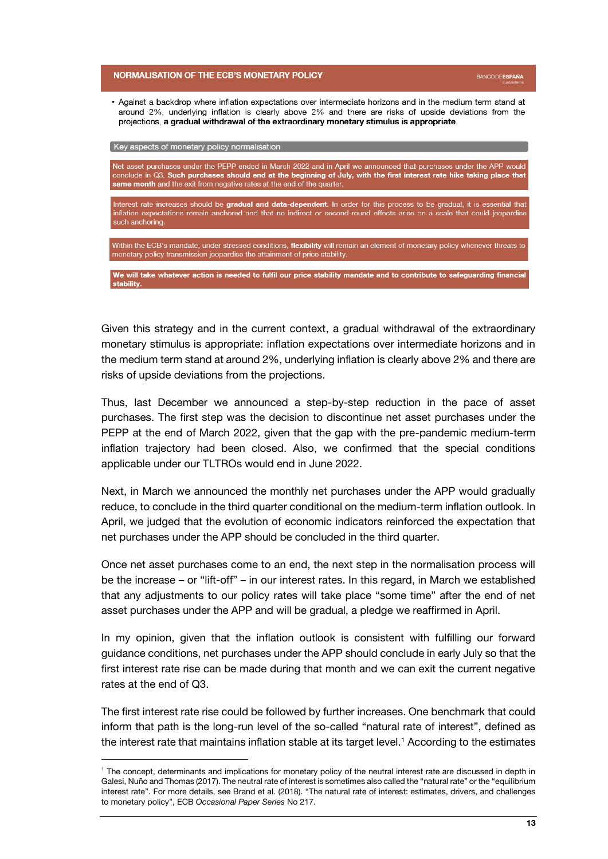#### **NORMALISATION OF THE ECB'S MONETARY POLICY**

• Against a backdrop where inflation expectations over intermediate horizons and in the medium term stand at around 2%, underlying inflation is clearly above 2% and there are risks of upside deviations from the projections, a gradual withdrawal of the extraordinary monetary stimulus is appropriate.

Key aspects of monetary policy normalisation

l

.<br>Net asset purchases under the PEPP ended in March 2022 and in April we announced that purchases under the APP would conclude in Q3. Such purchases should end at the beginning of July, with the first interest rate hike taking place that same month and the exit from negative rates at the end of the quarter.

Interest rate increases should be **gradual and data-dependent**. In order for this process to be gradual, it is essential that inflation expectations remain anchored and that no indirect or second-round effects arise on a scale that could jeopardise such anchoring.

Within the ECB's mandate, under stressed conditions, flexibility will remain an element of monetary policy whenever threats to monetary policy transmission jeopardise the attainment of price stability.

We will take whatever action is needed to fulfil our price stability mandate and to contribute to safeguarding financial stability.

Given this strategy and in the current context, a gradual withdrawal of the extraordinary monetary stimulus is appropriate: inflation expectations over intermediate horizons and in the medium term stand at around 2%, underlying inflation is clearly above 2% and there are risks of upside deviations from the projections.

Thus, last December we announced a step-by-step reduction in the pace of asset purchases. The first step was the decision to discontinue net asset purchases under the PEPP at the end of March 2022, given that the gap with the pre-pandemic medium-term inflation trajectory had been closed. Also, we confirmed that the special conditions applicable under our TLTROs would end in June 2022.

Next, in March we announced the monthly net purchases under the APP would gradually reduce, to conclude in the third quarter conditional on the medium-term inflation outlook. In April, we judged that the evolution of economic indicators reinforced the expectation that net purchases under the APP should be concluded in the third quarter.

Once net asset purchases come to an end, the next step in the normalisation process will be the increase – or "lift-off" – in our interest rates. In this regard, in March we established that any adjustments to our policy rates will take place "some time" after the end of net asset purchases under the APP and will be gradual, a pledge we reaffirmed in April.

In my opinion, given that the inflation outlook is consistent with fulfilling our forward guidance conditions, net purchases under the APP should conclude in early July so that the first interest rate rise can be made during that month and we can exit the current negative rates at the end of Q3.

The first interest rate rise could be followed by further increases. One benchmark that could inform that path is the long-run level of the so-called "natural rate of interest", defined as the interest rate that maintains inflation stable at its target level.<sup>1</sup> According to the estimates

**BANCODE ESPAÑA** 

<sup>&</sup>lt;sup>1</sup> The concept, determinants and implications for monetary policy of the neutral interest rate are discussed in depth in Galesi, Nuño and Thomas (2017). The neutral rate of interest is sometimes also called the "natural rate" or the "equilibrium interest rate". For more details, see Brand et al. (2018). "The natural rate of interest: estimates, drivers, and challenges to monetary policy", ECB *Occasional Paper Series* No 217.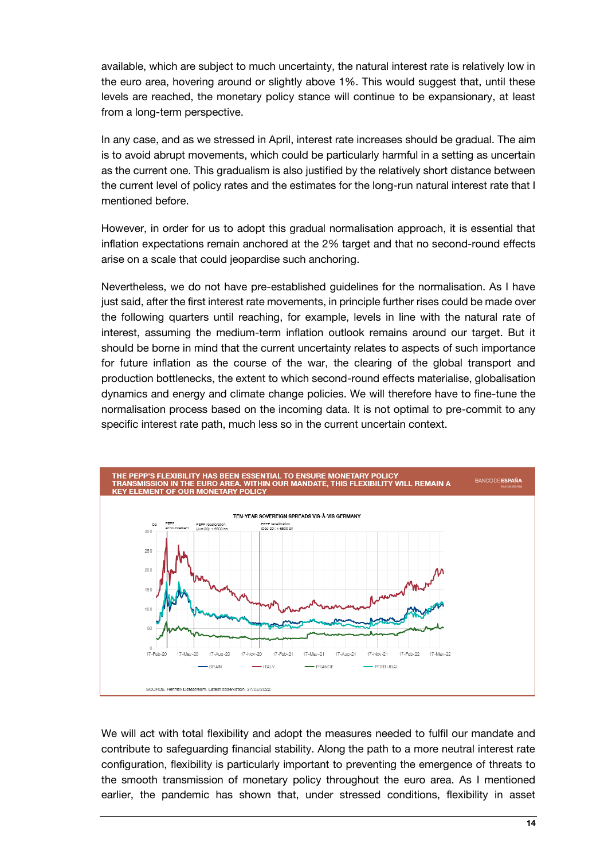available, which are subject to much uncertainty, the natural interest rate is relatively low in the euro area, hovering around or slightly above 1%. This would suggest that, until these levels are reached, the monetary policy stance will continue to be expansionary, at least from a long-term perspective.

In any case, and as we stressed in April, interest rate increases should be gradual. The aim is to avoid abrupt movements, which could be particularly harmful in a setting as uncertain as the current one. This gradualism is also justified by the relatively short distance between the current level of policy rates and the estimates for the long-run natural interest rate that I mentioned before.

However, in order for us to adopt this gradual normalisation approach, it is essential that inflation expectations remain anchored at the 2% target and that no second-round effects arise on a scale that could jeopardise such anchoring.

Nevertheless, we do not have pre-established guidelines for the normalisation. As I have just said, after the first interest rate movements, in principle further rises could be made over the following quarters until reaching, for example, levels in line with the natural rate of interest, assuming the medium-term inflation outlook remains around our target. But it should be borne in mind that the current uncertainty relates to aspects of such importance for future inflation as the course of the war, the clearing of the global transport and production bottlenecks, the extent to which second-round effects materialise, globalisation dynamics and energy and climate change policies. We will therefore have to fine-tune the normalisation process based on the incoming data. It is not optimal to pre-commit to any specific interest rate path, much less so in the current uncertain context.



We will act with total flexibility and adopt the measures needed to fulfil our mandate and contribute to safeguarding financial stability. Along the path to a more neutral interest rate configuration, flexibility is particularly important to preventing the emergence of threats to the smooth transmission of monetary policy throughout the euro area. As I mentioned earlier, the pandemic has shown that, under stressed conditions, flexibility in asset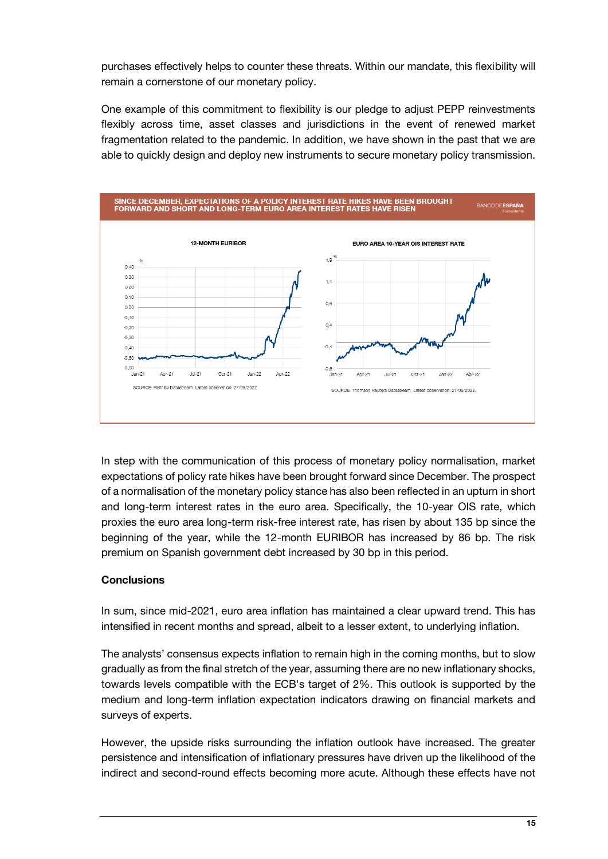purchases effectively helps to counter these threats. Within our mandate, this flexibility will remain a cornerstone of our monetary policy.

One example of this commitment to flexibility is our pledge to adjust PEPP reinvestments flexibly across time, asset classes and jurisdictions in the event of renewed market fragmentation related to the pandemic. In addition, we have shown in the past that we are able to quickly design and deploy new instruments to secure monetary policy transmission.



In step with the communication of this process of monetary policy normalisation, market expectations of policy rate hikes have been brought forward since December. The prospect of a normalisation of the monetary policy stance has also been reflected in an upturn in short and long-term interest rates in the euro area. Specifically, the 10-year OIS rate, which proxies the euro area long-term risk-free interest rate, has risen by about 135 bp since the beginning of the year, while the 12-month EURIBOR has increased by 86 bp. The risk premium on Spanish government debt increased by 30 bp in this period.

## **Conclusions**

In sum, since mid-2021, euro area inflation has maintained a clear upward trend. This has intensified in recent months and spread, albeit to a lesser extent, to underlying inflation.

The analysts' consensus expects inflation to remain high in the coming months, but to slow gradually as from the final stretch of the year, assuming there are no new inflationary shocks, towards levels compatible with the ECB's target of 2%. This outlook is supported by the medium and long-term inflation expectation indicators drawing on financial markets and surveys of experts.

However, the upside risks surrounding the inflation outlook have increased. The greater persistence and intensification of inflationary pressures have driven up the likelihood of the indirect and second-round effects becoming more acute. Although these effects have not